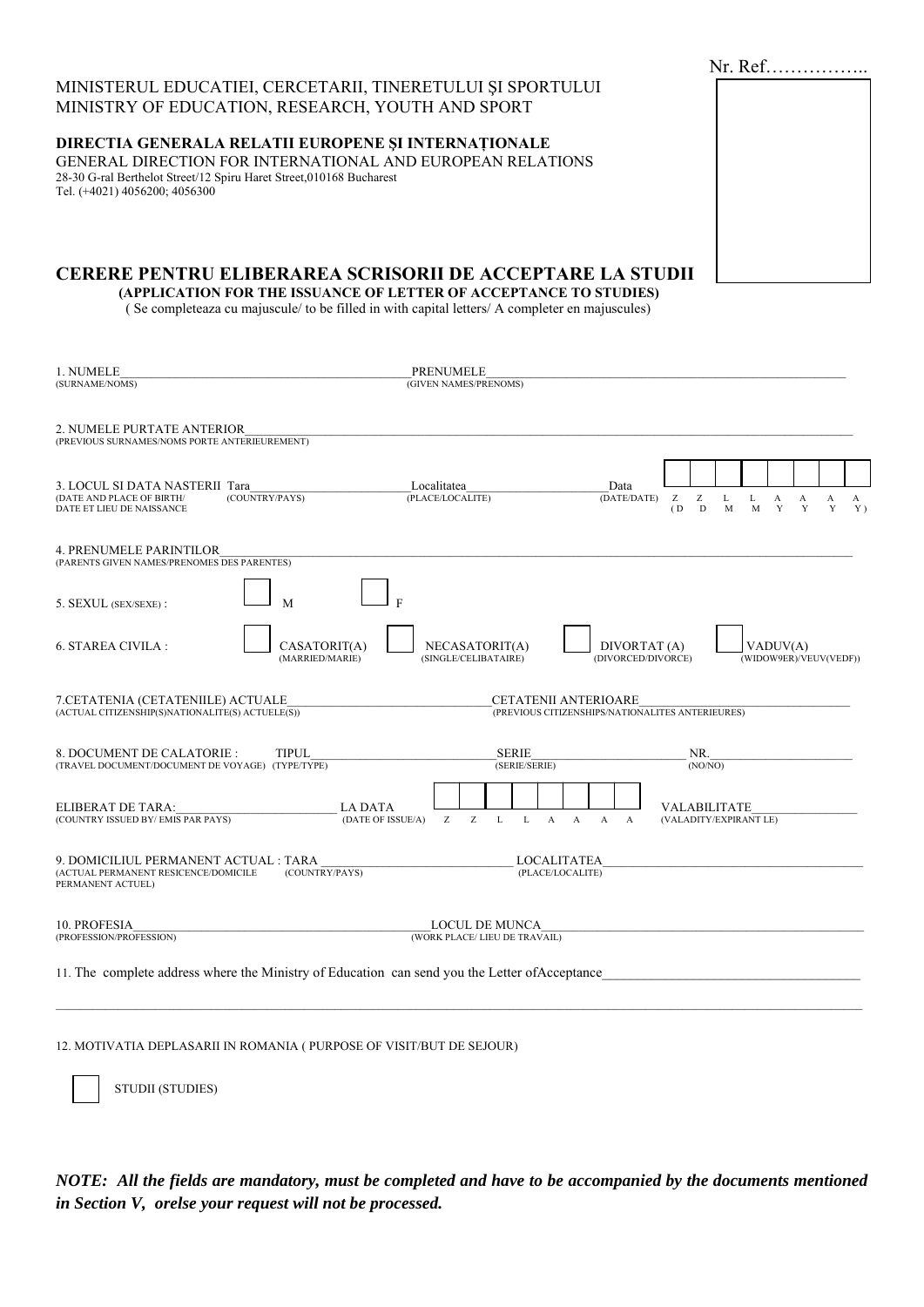|                                                                                                      | $Nr.$ Ref |
|------------------------------------------------------------------------------------------------------|-----------|
| MINISTERUL EDUCATIEI, CERCETARII, TINERETULUI ȘI SPORTULUI                                           |           |
| MINISTRY OF EDUCATION, RESEARCH, YOUTH AND SPORT                                                     |           |
| <b>DIRECTIA GENERALA RELATII EUROPENE ȘI INTERNAȚIONALE</b>                                          |           |
| GENERAL DIRECTION FOR INTERNATIONAL AND EUROPEAN RELATIONS                                           |           |
| 28-30 G-ral Berthelot Street/12 Spiru Haret Street,010168 Bucharest<br>Tel. (+4021) 4056200; 4056300 |           |
|                                                                                                      |           |
|                                                                                                      |           |
|                                                                                                      |           |
|                                                                                                      |           |
| CERERE PENTRU ELIBERAREA SCRISORII DE ACCEPTARE LA STUDII                                            |           |
| (APPLICATION FOR THE ISSUANCE OF LETTER OF ACCEPTANCE TO STUDIES)                                    |           |
| Se completeaza cu majuscule/ to be filled in with capital letters/ A completer en majuscules)        |           |

| 1. NUMELE<br>(SURNAME/NOMS)                                                                                | <b>PRENUMELE</b><br>(GIVEN NAMES/PRENOMS)                                                                                                                                      |  |  |
|------------------------------------------------------------------------------------------------------------|--------------------------------------------------------------------------------------------------------------------------------------------------------------------------------|--|--|
| 2. NUMELE PURTATE ANTERIOR<br>(PREVIOUS SURNAMES/NOMS PORTE ANTERIEUREMENT)                                |                                                                                                                                                                                |  |  |
| 3. LOCUL SI DATA NASTERII Tara<br>(DATE AND PLACE OF BIRTH/<br>(COUNTRY/PAYS)<br>DATE ET LIEU DE NAISSANCE | Localitatea<br>Data<br>(PLACE/LOCALITE)<br>(DATE/DATE)<br>Z<br>Z<br>L<br>L<br>A<br>A<br>A<br>A<br>$\mathbf{D}$<br>(D)<br>Y<br>Y<br>Y<br>$Y$ )<br>M<br>M                        |  |  |
| <b>4. PRENUMELE PARINTILOR</b><br>(PARENTS GIVEN NAMES/PRENOMES DES PARENTES)                              |                                                                                                                                                                                |  |  |
| 5. SEXUL (SEX/SEXE):<br>M                                                                                  |                                                                                                                                                                                |  |  |
| 6. STAREA CIVILA :<br>CASATORIT(A)<br>(MARRIED/MARIE)                                                      | DIVORTAT (A)<br>VADUV(A)<br>NECASATORIT(A)<br>(DIVORCED/DIVORCE)<br>(WIDOW9ER)/VEUV(VEDF))<br>(SINGLE/CELIBATAIRE)                                                             |  |  |
| 7.CETATENIA (CETATENIILE) ACTUALE<br>$(ACTUAL CITIZENSHIP(S)NATIONALITE(S) ACTUELE(S))$                    | <b>CETATENII ANTERIOARE</b><br>(PREVIOUS CITIZENSHIPS/NATIONALITES ANTERIEURES)                                                                                                |  |  |
| <b>TIPUL</b><br>8. DOCUMENT DE CALATORIE :<br>(TRAVEL DOCUMENT/DOCUMENT DE VOYAGE) (TYPE/TYPE)             | <b>SERIE</b><br>NR.<br>(SERIE/SERIE)<br>(NO/NO)                                                                                                                                |  |  |
| ELIBERAT DE TARA:<br>(COUNTRY ISSUED BY/EMIS PAR PAYS)                                                     | <b>VALABILITATE</b><br>LA DATA<br>Z<br>Z<br>(DATE OF ISSUE/A)<br>$\mathbf{L}$<br>$\mathbf{L}$<br>(VALADITY/EXPIRANT LE)<br>$\mathbf{A}$<br>$\overline{A}$<br>A<br>$\mathbf{A}$ |  |  |
| 9. DOMICILIUL PERMANENT ACTUAL : TARA<br>(ACTUAL PERMANENT RESICENCE/DOMICILE<br>PERMANENT ACTUEL)         | <b>LOCALITATEA</b><br>(COUNTRY/PAYS)<br>(PLACE/LOCALITE)                                                                                                                       |  |  |
| 10. PROFESIA<br>(PROFESSION/PROFESSION)                                                                    | <b>LOCUL DE MUNCA</b><br>(WORK PLACE/ LIEU DE TRAVAIL)                                                                                                                         |  |  |
| 11. The complete address where the Ministry of Education can send you the Letter of Acceptance             |                                                                                                                                                                                |  |  |

12. MOTIVATIA DEPLASARII IN ROMANIA ( PURPOSE OF VISIT/BUT DE SEJOUR)

STUDII (STUDIES)

NOTE: All the fields are mandatory, must be completed and have to be accompanied by the documents mentioned in Section V, orelse your request will not be processed.